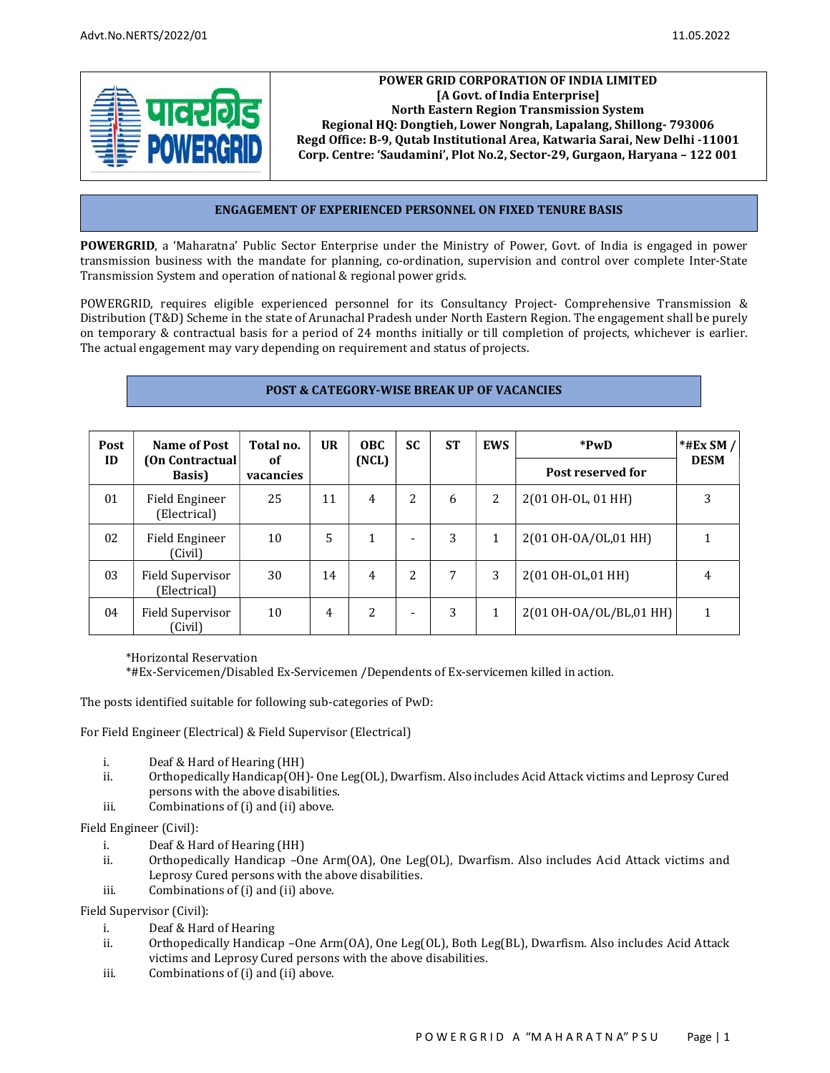

### POWER GRID CORPORATION OF INDIA LIMITED [A Govt. of India Enterprise] North Eastern Region Transmission System Regional HQ: Dongtieh, Lower Nongrah, Lapalang, Shillong- 793006 Regd Office: B-9, Qutab Institutional Area, Katwaria Sarai, New Delhi -11001 Corp. Centre: 'Saudamini', Plot No.2, Sector-29, Gurgaon, Haryana – 122 001

### ENGAGEMENT OF EXPERIENCED PERSONNEL ON FIXED TENURE BASIS

POWERGRID, a 'Maharatna' Public Sector Enterprise under the Ministry of Power, Govt. of India is engaged in power transmission business with the mandate for planning, co-ordination, supervision and control over complete Inter-State Transmission System and operation of national & regional power grids.

POWERGRID, requires eligible experienced personnel for its Consultancy Project- Comprehensive Transmission & Distribution (T&D) Scheme in the state of Arunachal Pradesh under North Eastern Region. The engagement shall be purely on temporary & contractual basis for a period of 24 months initially or till completion of projects, whichever is earlier. The actual engagement may vary depending on requirement and status of projects.

### POST & CATEGORY-WISE BREAK UP OF VACANCIES

| Post | Name of Post                     | Total no.       | <b>UR</b> | <b>OBC</b> | SC.                      | <b>ST</b> | <b>EWS</b> | *PwD                    | $*$ #Ex SM / |
|------|----------------------------------|-----------------|-----------|------------|--------------------------|-----------|------------|-------------------------|--------------|
| ID   | (On Contractual)<br>Basis)       | оf<br>vacancies |           | (NCL)      |                          |           |            | Post reserved for       | <b>DESM</b>  |
| 01   | Field Engineer<br>(Electrical)   | 25              | 11        | 4          | 2                        | 6         | 2          | 2(01 OH-OL, 01 HH)      | 3            |
| 02   | Field Engineer<br>(Civil)        | 10              | 5         |            | $\overline{\phantom{0}}$ | 3         | 1          | 2(01 OH-OA/OL,01 HH)    |              |
| 03   | Field Supervisor<br>(Electrical) | 30              | 14        | 4          | 2                        | 7         | 3          | 2(01 OH-OL,01 HH)       | 4            |
| 04   | Field Supervisor<br>(Civil)      | 10              | 4         | 2          | $\overline{\phantom{0}}$ | 3         | 1          | 2(01 OH-OA/OL/BL,01 HH) |              |

\*Horizontal Reservation

\*#Ex-Servicemen/Disabled Ex-Servicemen /Dependents of Ex-servicemen killed in action.

The posts identified suitable for following sub-categories of PwD:

For Field Engineer (Electrical) & Field Supervisor (Electrical)

- i. Deaf & Hard of Hearing (HH)
- ii. Orthopedically Handicap(OH)- One Leg(OL), Dwarfism. Also includes Acid Attack victims and Leprosy Cured persons with the above disabilities.
- iii. Combinations of (i) and (ii) above.

Field Engineer (Civil):

- i. Deaf & Hard of Hearing (HH)
- ii. Orthopedically Handicap –One Arm(OA), One Leg(OL), Dwarfism. Also includes Acid Attack victims and Leprosy Cured persons with the above disabilities.
- iii. Combinations of (i) and (ii) above.

Field Supervisor (Civil):

- i. Deaf & Hard of Hearing
- ii. Orthopedically Handicap –One Arm(OA), One Leg(OL), Both Leg(BL), Dwarfism. Also includes Acid Attack victims and Leprosy Cured persons with the above disabilities.
- iii. Combinations of (i) and (ii) above.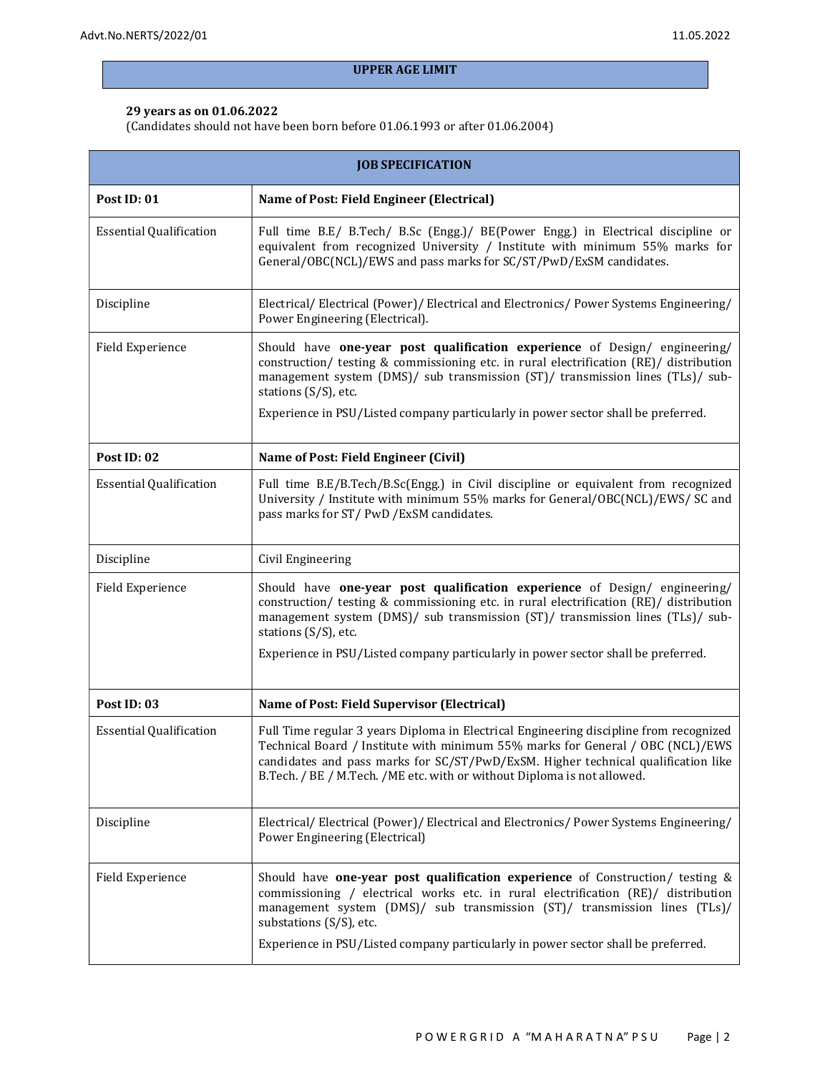# UPPER AGE LIMIT

#### 29 years as on 01.06.2022

(Candidates should not have been born before 01.06.1993 or after 01.06.2004)

| <b>JOB SPECIFICATION</b>       |                                                                                                                                                                                                                                                                                                                                                                     |  |  |  |  |
|--------------------------------|---------------------------------------------------------------------------------------------------------------------------------------------------------------------------------------------------------------------------------------------------------------------------------------------------------------------------------------------------------------------|--|--|--|--|
| Post ID: 01                    | Name of Post: Field Engineer (Electrical)                                                                                                                                                                                                                                                                                                                           |  |  |  |  |
| <b>Essential Qualification</b> | Full time B.E/ B.Tech/ B.Sc (Engg.)/ BE(Power Engg.) in Electrical discipline or<br>equivalent from recognized University / Institute with minimum 55% marks for<br>General/OBC(NCL)/EWS and pass marks for SC/ST/PwD/ExSM candidates.                                                                                                                              |  |  |  |  |
| Discipline                     | Electrical/Electrical (Power)/Electrical and Electronics/Power Systems Engineering/<br>Power Engineering (Electrical).                                                                                                                                                                                                                                              |  |  |  |  |
| Field Experience               | Should have one-year post qualification experience of Design/ engineering/<br>construction/ testing & commissioning etc. in rural electrification (RE)/ distribution<br>management system (DMS)/ sub transmission (ST)/ transmission lines (TLs)/ sub-<br>stations (S/S), etc.<br>Experience in PSU/Listed company particularly in power sector shall be preferred. |  |  |  |  |
| Post ID: 02                    | Name of Post: Field Engineer (Civil)                                                                                                                                                                                                                                                                                                                                |  |  |  |  |
| <b>Essential Qualification</b> | Full time B.E/B.Tech/B.Sc(Engg.) in Civil discipline or equivalent from recognized<br>University / Institute with minimum 55% marks for General/OBC(NCL)/EWS/ SC and<br>pass marks for ST/PwD/ExSM candidates.                                                                                                                                                      |  |  |  |  |
| Discipline                     | Civil Engineering                                                                                                                                                                                                                                                                                                                                                   |  |  |  |  |
| Field Experience               | Should have one-year post qualification experience of Design/ engineering/<br>construction/ testing & commissioning etc. in rural electrification (RE)/ distribution<br>management system (DMS)/ sub transmission (ST)/ transmission lines (TLs)/ sub-<br>stations (S/S), etc.<br>Experience in PSU/Listed company particularly in power sector shall be preferred. |  |  |  |  |
| Post ID: 03                    | Name of Post: Field Supervisor (Electrical)                                                                                                                                                                                                                                                                                                                         |  |  |  |  |
| <b>Essential Qualification</b> | Full Time regular 3 years Diploma in Electrical Engineering discipline from recognized<br>Technical Board / Institute with minimum 55% marks for General / OBC (NCL)/EWS<br>candidates and pass marks for SC/ST/PwD/ExSM. Higher technical qualification like<br>B.Tech. / BE / M.Tech. / ME etc. with or without Diploma is not allowed.                           |  |  |  |  |
| Discipline                     | Electrical/Electrical (Power)/Electrical and Electronics/Power Systems Engineering/<br>Power Engineering (Electrical)                                                                                                                                                                                                                                               |  |  |  |  |
| Field Experience               | Should have one-year post qualification experience of Construction/ testing &<br>commissioning / electrical works etc. in rural electrification (RE)/ distribution<br>management system (DMS)/ sub transmission (ST)/ transmission lines (TLs)/<br>substations (S/S), etc.<br>Experience in PSU/Listed company particularly in power sector shall be preferred.     |  |  |  |  |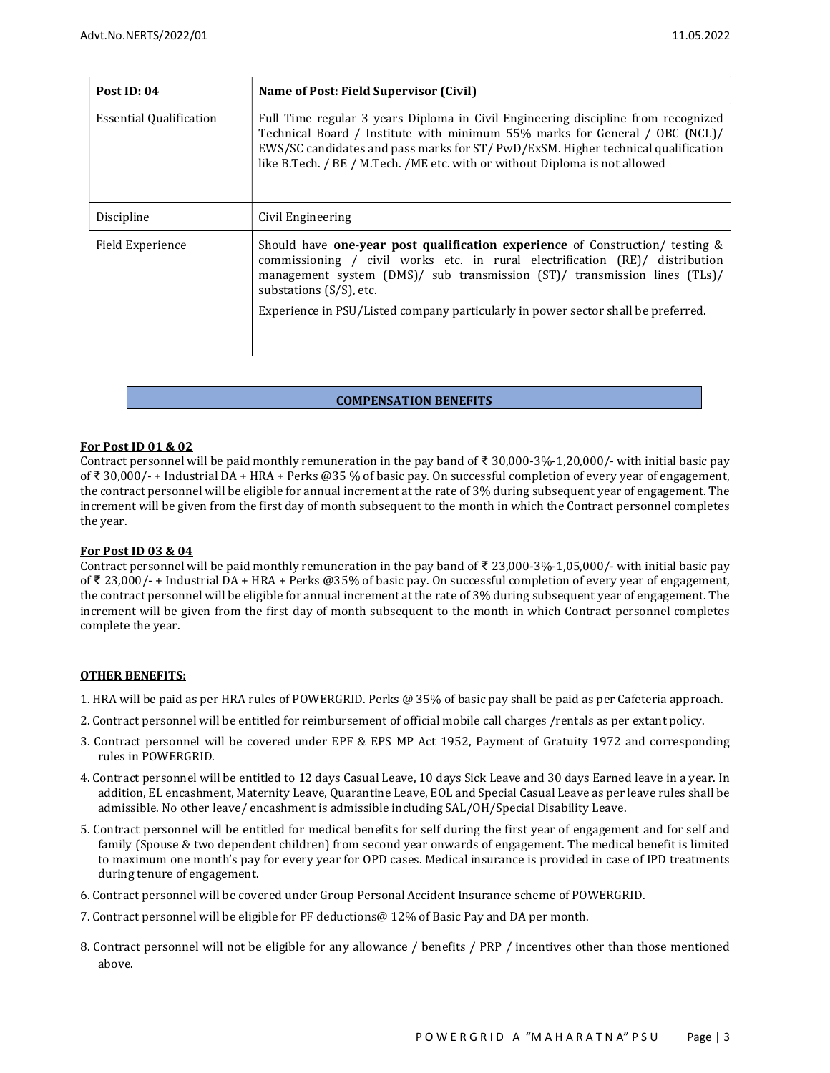| Post ID: 04                    | Name of Post: Field Supervisor (Civil)                                                                                                                                                                                                                                                                                                                        |  |  |  |
|--------------------------------|---------------------------------------------------------------------------------------------------------------------------------------------------------------------------------------------------------------------------------------------------------------------------------------------------------------------------------------------------------------|--|--|--|
| <b>Essential Qualification</b> | Full Time regular 3 years Diploma in Civil Engineering discipline from recognized<br>Technical Board / Institute with minimum 55% marks for General / OBC (NCL)/<br>EWS/SC candidates and pass marks for ST/ PwD/ExSM. Higher technical qualification<br>like B.Tech. / BE / M.Tech. / ME etc. with or without Diploma is not allowed                         |  |  |  |
| Discipline                     | Civil Engineering                                                                                                                                                                                                                                                                                                                                             |  |  |  |
| Field Experience               | Should have one-year post qualification experience of Construction/ testing $\&$<br>commissioning / civil works etc. in rural electrification (RE)/ distribution<br>management system (DMS)/ sub transmission (ST)/ transmission lines (TLs)/<br>substations (S/S), etc.<br>Experience in PSU/Listed company particularly in power sector shall be preferred. |  |  |  |

#### COMPENSATION BENEFITS

#### For Post ID 01 & 02

Contract personnel will be paid monthly remuneration in the pay band of ₹ 30,000-3%-1,20,000/- with initial basic pay of ₹ 30,000/- + Industrial DA + HRA + Perks @35 % of basic pay. On successful completion of every year of engagement, the contract personnel will be eligible for annual increment at the rate of 3% during subsequent year of engagement. The increment will be given from the first day of month subsequent to the month in which the Contract personnel completes the year.

#### For Post ID 03 & 04

Contract personnel will be paid monthly remuneration in the pay band of ₹ 23,000-3%-1,05,000/- with initial basic pay of ₹ 23,000/- + Industrial DA + HRA + Perks @35% of basic pay. On successful completion of every year of engagement, the contract personnel will be eligible for annual increment at the rate of 3% during subsequent year of engagement. The increment will be given from the first day of month subsequent to the month in which Contract personnel completes complete the year.

#### OTHER BENEFITS:

- 1. HRA will be paid as per HRA rules of POWERGRID. Perks @ 35% of basic pay shall be paid as per Cafeteria approach.
- 2. Contract personnel will be entitled for reimbursement of official mobile call charges /rentals as per extant policy.
- 3. Contract personnel will be covered under EPF & EPS MP Act 1952, Payment of Gratuity 1972 and corresponding rules in POWERGRID.
- 4. Contract personnel will be entitled to 12 days Casual Leave, 10 days Sick Leave and 30 days Earned leave in a year. In addition, EL encashment, Maternity Leave, Quarantine Leave, EOL and Special Casual Leave as per leave rules shall be admissible. No other leave/ encashment is admissible including SAL/OH/Special Disability Leave.
- 5. Contract personnel will be entitled for medical benefits for self during the first year of engagement and for self and family (Spouse & two dependent children) from second year onwards of engagement. The medical benefit is limited to maximum one month's pay for every year for OPD cases. Medical insurance is provided in case of IPD treatments during tenure of engagement.
- 6. Contract personnel will be covered under Group Personal Accident Insurance scheme of POWERGRID.
- 7. Contract personnel will be eligible for PF deductions@ 12% of Basic Pay and DA per month.
- 8. Contract personnel will not be eligible for any allowance / benefits / PRP / incentives other than those mentioned above.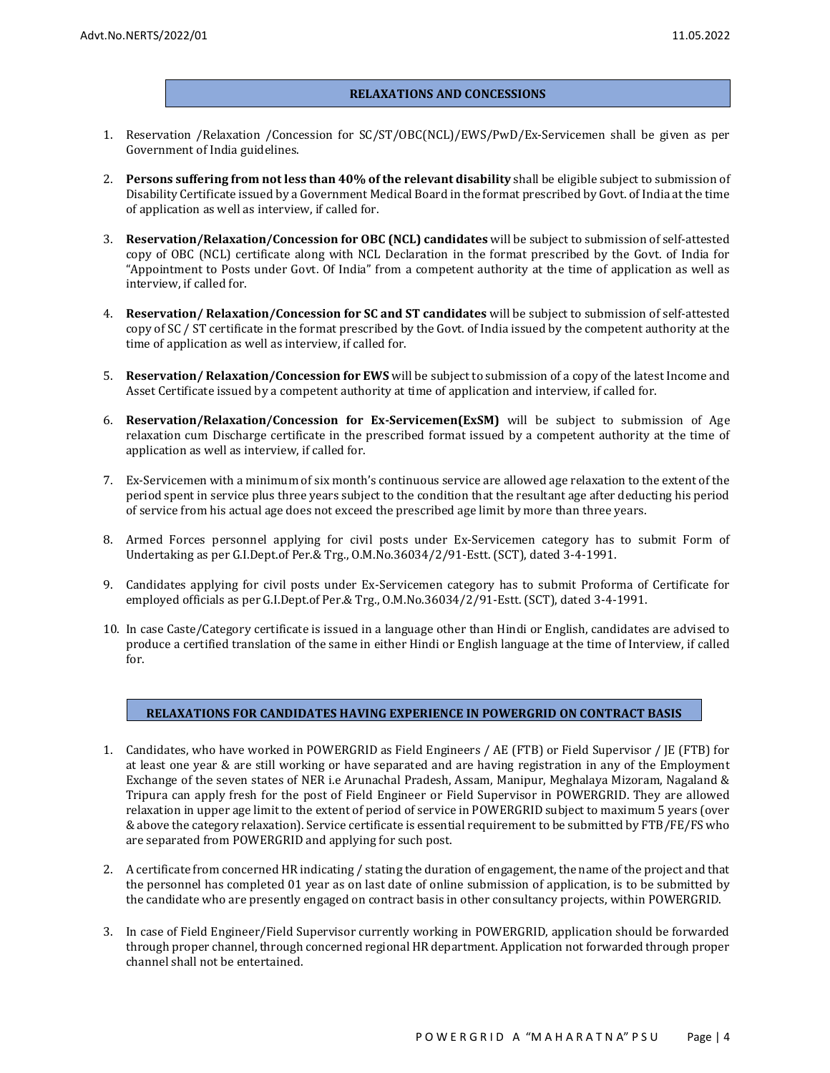#### RELAXATIONS AND CONCESSIONS

- 1. Reservation /Relaxation /Concession for SC/ST/OBC(NCL)/EWS/PwD/Ex-Servicemen shall be given as per Government of India guidelines.
- 2. Persons suffering from not less than 40% of the relevant disability shall be eligible subject to submission of Disability Certificate issued by a Government Medical Board in the format prescribed by Govt. of India at the time of application as well as interview, if called for.
- 3. Reservation/Relaxation/Concession for OBC (NCL) candidates will be subject to submission of self-attested copy of OBC (NCL) certificate along with NCL Declaration in the format prescribed by the Govt. of India for "Appointment to Posts under Govt. Of India" from a competent authority at the time of application as well as interview, if called for.
- 4. Reservation/ Relaxation/Concession for SC and ST candidates will be subject to submission of self-attested copy of SC / ST certificate in the format prescribed by the Govt. of India issued by the competent authority at the time of application as well as interview, if called for.
- 5. Reservation/ Relaxation/Concession for EWS will be subject to submission of a copy of the latest Income and Asset Certificate issued by a competent authority at time of application and interview, if called for.
- 6. Reservation/Relaxation/Concession for Ex-Servicemen(ExSM) will be subject to submission of Age relaxation cum Discharge certificate in the prescribed format issued by a competent authority at the time of application as well as interview, if called for.
- 7. Ex-Servicemen with a minimum of six month's continuous service are allowed age relaxation to the extent of the period spent in service plus three years subject to the condition that the resultant age after deducting his period of service from his actual age does not exceed the prescribed age limit by more than three years.
- 8. Armed Forces personnel applying for civil posts under Ex-Servicemen category has to submit Form of Undertaking as per G.I.Dept.of Per.& Trg., O.M.No.36034/2/91-Estt. (SCT), dated 3-4-1991.
- 9. Candidates applying for civil posts under Ex-Servicemen category has to submit Proforma of Certificate for employed officials as per G.I.Dept.of Per.& Trg., O.M.No.36034/2/91-Estt. (SCT), dated 3-4-1991.
- 10. In case Caste/Category certificate is issued in a language other than Hindi or English, candidates are advised to produce a certified translation of the same in either Hindi or English language at the time of Interview, if called for.

## RELAXATIONS FOR CANDIDATES HAVING EXPERIENCE IN POWERGRID ON CONTRACT BASIS

- 1. Candidates, who have worked in POWERGRID as Field Engineers / AE (FTB) or Field Supervisor / JE (FTB) for at least one year & are still working or have separated and are having registration in any of the Employment Exchange of the seven states of NER i.e Arunachal Pradesh, Assam, Manipur, Meghalaya Mizoram, Nagaland & Tripura can apply fresh for the post of Field Engineer or Field Supervisor in POWERGRID. They are allowed relaxation in upper age limit to the extent of period of service in POWERGRID subject to maximum 5 years (over & above the category relaxation). Service certificate is essential requirement to be submitted by FTB/FE/FS who are separated from POWERGRID and applying for such post.
- 2. A certificate from concerned HR indicating / stating the duration of engagement, the name of the project and that the personnel has completed 01 year as on last date of online submission of application, is to be submitted by the candidate who are presently engaged on contract basis in other consultancy projects, within POWERGRID.
- 3. In case of Field Engineer/Field Supervisor currently working in POWERGRID, application should be forwarded through proper channel, through concerned regional HR department. Application not forwarded through proper channel shall not be entertained.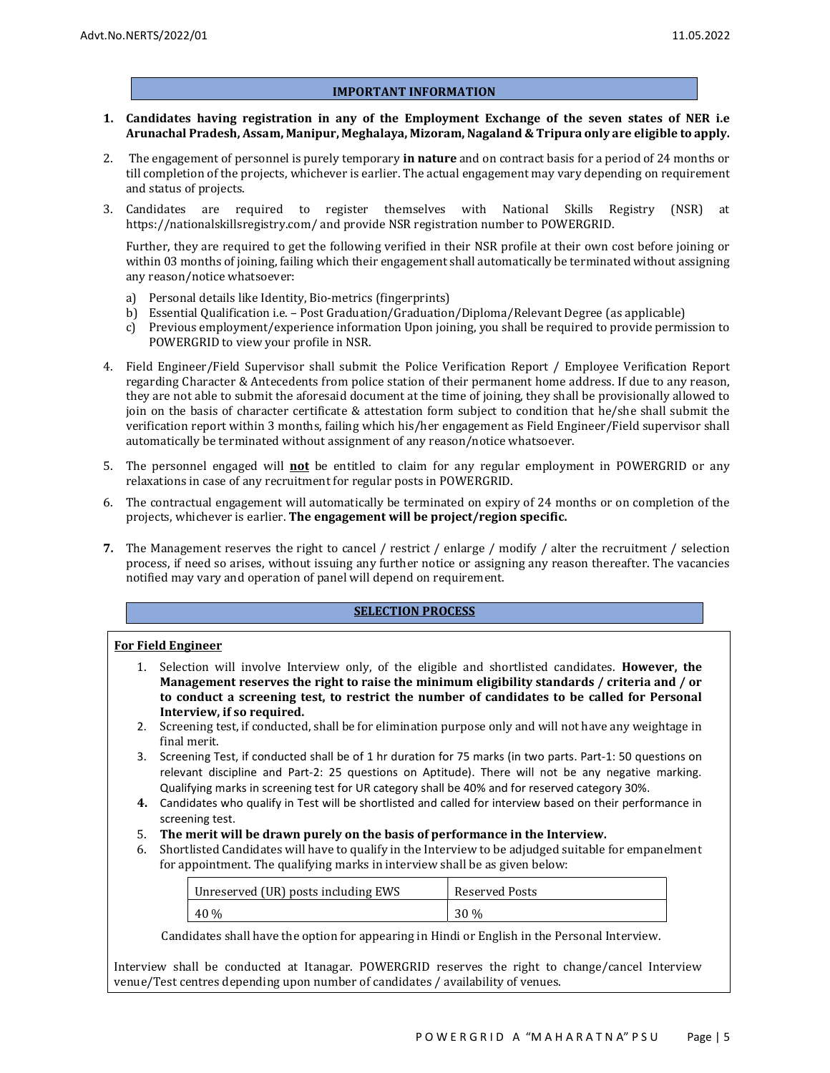#### IMPORTANT INFORMATION

- 1. Candidates having registration in any of the Employment Exchange of the seven states of NER i.e Arunachal Pradesh, Assam, Manipur, Meghalaya, Mizoram, Nagaland & Tripura only are eligible to apply.
- 2. The engagement of personnel is purely temporary in nature and on contract basis for a period of 24 months or till completion of the projects, whichever is earlier. The actual engagement may vary depending on requirement and status of projects.
- 3. Candidates are required to register themselves with National Skills Registry (NSR) at https://nationalskillsregistry.com/ and provide NSR registration number to POWERGRID.

Further, they are required to get the following verified in their NSR profile at their own cost before joining or within 03 months of joining, failing which their engagement shall automatically be terminated without assigning any reason/notice whatsoever:

- a) Personal details like Identity, Bio-metrics (fingerprints)
- b) Essential Qualification i.e. Post Graduation/Graduation/Diploma/Relevant Degree (as applicable)
- c) Previous employment/experience information Upon joining, you shall be required to provide permission to POWERGRID to view your profile in NSR.
- 4. Field Engineer/Field Supervisor shall submit the Police Verification Report / Employee Verification Report regarding Character & Antecedents from police station of their permanent home address. If due to any reason, they are not able to submit the aforesaid document at the time of joining, they shall be provisionally allowed to join on the basis of character certificate & attestation form subject to condition that he/she shall submit the verification report within 3 months, failing which his/her engagement as Field Engineer/Field supervisor shall automatically be terminated without assignment of any reason/notice whatsoever.
- 5. The personnel engaged will **not** be entitled to claim for any regular employment in POWERGRID or any relaxations in case of any recruitment for regular posts in POWERGRID.
- 6. The contractual engagement will automatically be terminated on expiry of 24 months or on completion of the projects, whichever is earlier. The engagement will be project/region specific.
- 7. The Management reserves the right to cancel / restrict / enlarge / modify / alter the recruitment / selection process, if need so arises, without issuing any further notice or assigning any reason thereafter. The vacancies notified may vary and operation of panel will depend on requirement.

#### SELECTION PROCESS

#### For Field Engineer

- 1. Selection will involve Interview only, of the eligible and shortlisted candidates. However, the Management reserves the right to raise the minimum eligibility standards / criteria and / or to conduct a screening test, to restrict the number of candidates to be called for Personal Interview, if so required.
- 2. Screening test, if conducted, shall be for elimination purpose only and will not have any weightage in final merit.
- 3. Screening Test, if conducted shall be of 1 hr duration for 75 marks (in two parts. Part-1: 50 questions on relevant discipline and Part-2: 25 questions on Aptitude). There will not be any negative marking. Qualifying marks in screening test for UR category shall be 40% and for reserved category 30%.
- 4. Candidates who qualify in Test will be shortlisted and called for interview based on their performance in screening test.
- 5. The merit will be drawn purely on the basis of performance in the Interview.
- 6. Shortlisted Candidates will have to qualify in the Interview to be adjudged suitable for empanelment for appointment. The qualifying marks in interview shall be as given below:

| Unreserved (UR) posts including EWS | Reserved Posts |
|-------------------------------------|----------------|
| $40\%$                              | 30 %           |

Candidates shall have the option for appearing in Hindi or English in the Personal Interview.

Interview shall be conducted at Itanagar. POWERGRID reserves the right to change/cancel Interview venue/Test centres depending upon number of candidates / availability of venues.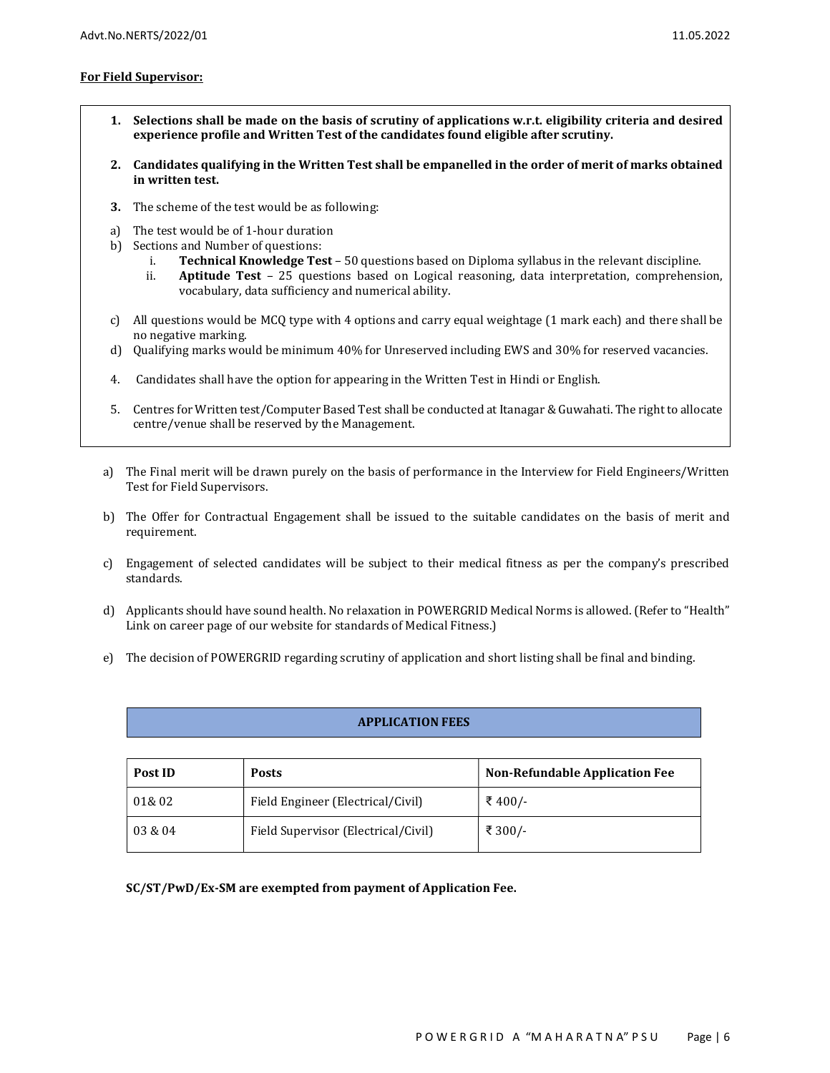### For Field Supervisor:

- 1. Selections shall be made on the basis of scrutiny of applications w.r.t. eligibility criteria and desired experience profile and Written Test of the candidates found eligible after scrutiny.
- 2. Candidates qualifying in the Written Test shall be empanelled in the order of merit of marks obtained in written test.
- 3. The scheme of the test would be as following:
- a) The test would be of 1-hour duration
- b) Sections and Number of questions:
	- i. Technical Knowledge Test 50 questions based on Diploma syllabus in the relevant discipline.
	- ii. Aptitude Test 25 questions based on Logical reasoning, data interpretation, comprehension, vocabulary, data sufficiency and numerical ability.
- c) All questions would be MCQ type with 4 options and carry equal weightage (1 mark each) and there shall be no negative marking.
- d) Qualifying marks would be minimum 40% for Unreserved including EWS and 30% for reserved vacancies.
- 4. Candidates shall have the option for appearing in the Written Test in Hindi or English.
- 5. Centres for Written test/Computer Based Test shall be conducted at Itanagar & Guwahati. The right to allocate centre/venue shall be reserved by the Management.
- a) The Final merit will be drawn purely on the basis of performance in the Interview for Field Engineers/Written Test for Field Supervisors.
- b) The Offer for Contractual Engagement shall be issued to the suitable candidates on the basis of merit and requirement.
- c) Engagement of selected candidates will be subject to their medical fitness as per the company's prescribed standards.
- d) Applicants should have sound health. No relaxation in POWERGRID Medical Norms is allowed. (Refer to "Health" Link on career page of our website for standards of Medical Fitness.)
- e) The decision of POWERGRID regarding scrutiny of application and short listing shall be final and binding.

### APPLICATION FEES

| Post ID | <b>Posts</b>                        | <b>Non-Refundable Application Fee</b> |  |
|---------|-------------------------------------|---------------------------------------|--|
| 01&02   | Field Engineer (Electrical/Civil)   | ₹ 400/-                               |  |
| 03 & 04 | Field Supervisor (Electrical/Civil) | ₹ 300/-                               |  |

SC/ST/PwD/Ex-SM are exempted from payment of Application Fee.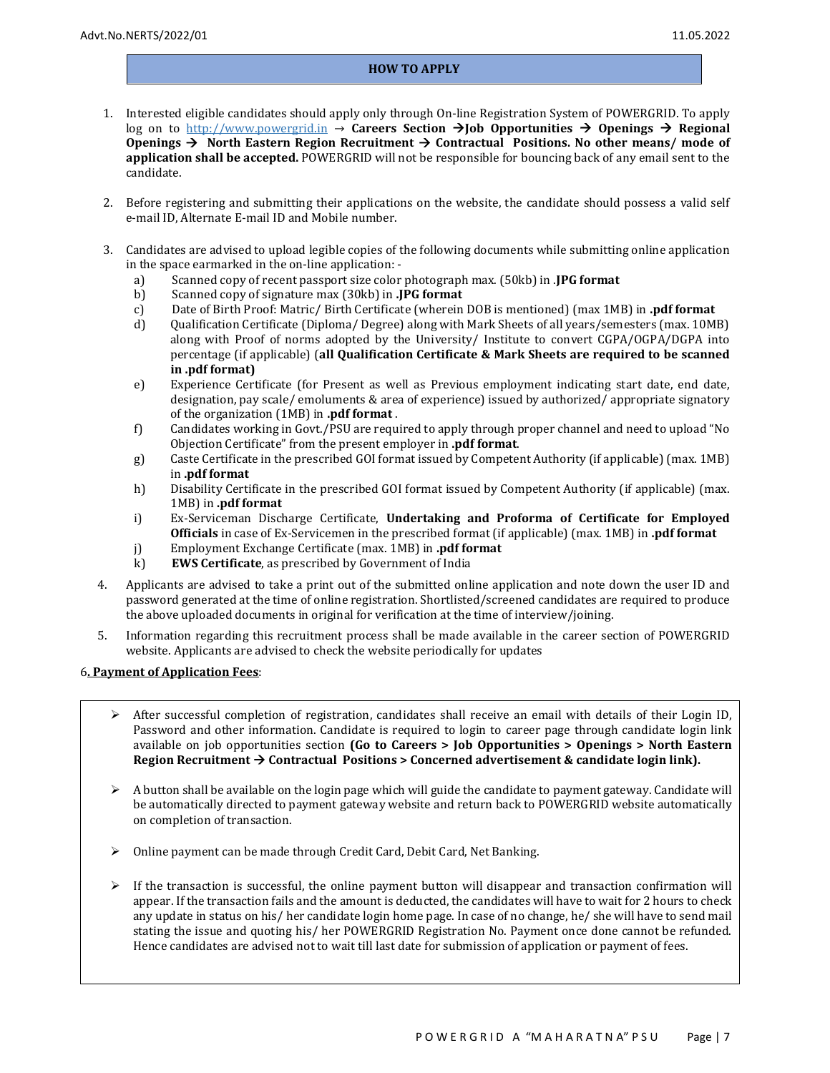#### HOW TO APPLY

- 1. Interested eligible candidates should apply only through On-line Registration System of POWERGRID. To apply log on to http://www.powergrid.in  $\rightarrow$  Careers Section  $\rightarrow$  Job Opportunities  $\rightarrow$  Openings  $\rightarrow$  Regional Openings  $\rightarrow$  North Eastern Region Recruitment  $\rightarrow$  Contractual Positions. No other means/ mode of application shall be accepted. POWERGRID will not be responsible for bouncing back of any email sent to the candidate.
- 2. Before registering and submitting their applications on the website, the candidate should possess a valid self e-mail ID, Alternate E-mail ID and Mobile number.
- 3. Candidates are advised to upload legible copies of the following documents while submitting online application in the space earmarked in the on-line application:
	- a) Scanned copy of recent passport size color photograph max. (50kb) in .JPG format
	- b) Scanned copy of signature max (30kb) in .JPG format
	- c) Date of Birth Proof: Matric/ Birth Certificate (wherein DOB is mentioned) (max 1MB) in .pdf format
	- d) Qualification Certificate (Diploma/ Degree) along with Mark Sheets of all years/semesters (max. 10MB) along with Proof of norms adopted by the University/ Institute to convert CGPA/OGPA/DGPA into percentage (if applicable) (all Qualification Certificate & Mark Sheets are required to be scanned in .pdf format)
	- e) Experience Certificate (for Present as well as Previous employment indicating start date, end date, designation, pay scale/ emoluments & area of experience) issued by authorized/ appropriate signatory of the organization (1MB) in .pdf format .
	- f) Candidates working in Govt./PSU are required to apply through proper channel and need to upload "No Objection Certificate" from the present employer in .pdf format.
	- g) Caste Certificate in the prescribed GOI format issued by Competent Authority (if applicable) (max. 1MB) in .pdf format
	- h) Disability Certificate in the prescribed GOI format issued by Competent Authority (if applicable) (max. 1MB) in .pdf format
	- i) Ex-Serviceman Discharge Certificate, Undertaking and Proforma of Certificate for Employed Officials in case of Ex-Servicemen in the prescribed format (if applicable) (max. 1MB) in .pdf format
	- j) Employment Exchange Certificate (max. 1MB) in .pdf format
	- k) EWS Certificate, as prescribed by Government of India
- 4. Applicants are advised to take a print out of the submitted online application and note down the user ID and password generated at the time of online registration. Shortlisted/screened candidates are required to produce the above uploaded documents in original for verification at the time of interview/joining.
- 5. Information regarding this recruitment process shall be made available in the career section of POWERGRID website. Applicants are advised to check the website periodically for updates

#### 6. Payment of Application Fees:

- $\triangleright$  After successful completion of registration, candidates shall receive an email with details of their Login ID, Password and other information. Candidate is required to login to career page through candidate login link available on job opportunities section (Go to Careers > Job Opportunities > Openings > North Eastern Region Recruitment  $\rightarrow$  Contractual Positions > Concerned advertisement & candidate login link).
- A button shall be available on the login page which will guide the candidate to payment gateway. Candidate will be automatically directed to payment gateway website and return back to POWERGRID website automatically on completion of transaction.
- Online payment can be made through Credit Card, Debit Card, Net Banking.
- $\triangleright$  If the transaction is successful, the online payment button will disappear and transaction confirmation will appear. If the transaction fails and the amount is deducted, the candidates will have to wait for 2 hours to check any update in status on his/ her candidate login home page. In case of no change, he/ she will have to send mail stating the issue and quoting his/ her POWERGRID Registration No. Payment once done cannot be refunded. Hence candidates are advised not to wait till last date for submission of application or payment of fees.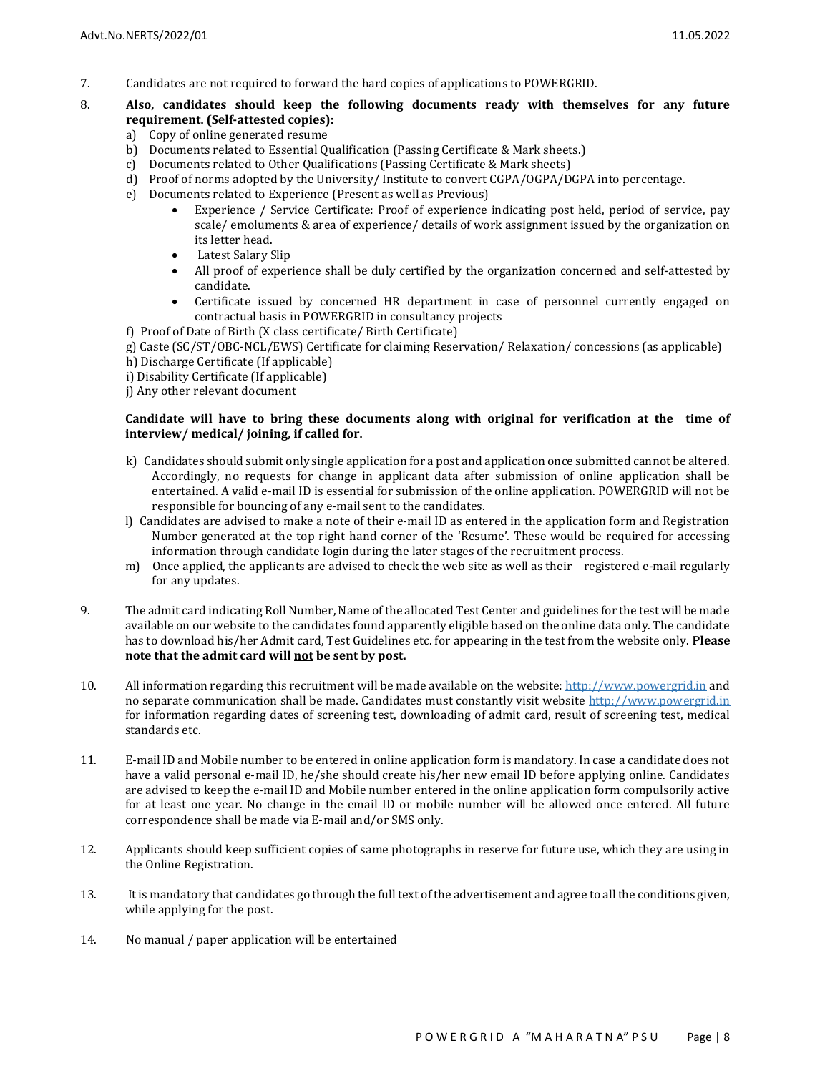- 7. Candidates are not required to forward the hard copies of applications to POWERGRID.
- 8. Also, candidates should keep the following documents ready with themselves for any future requirement. (Self-attested copies):
	- a) Copy of online generated resume
	- b) Documents related to Essential Qualification (Passing Certificate & Mark sheets.)
	- c) Documents related to Other Qualifications (Passing Certificate & Mark sheets)
	- d) Proof of norms adopted by the University/ Institute to convert CGPA/OGPA/DGPA into percentage.
	- e) Documents related to Experience (Present as well as Previous)
		- Experience / Service Certificate: Proof of experience indicating post held, period of service, pay scale/ emoluments & area of experience/ details of work assignment issued by the organization on its letter head.
		- Latest Salary Slip
		- All proof of experience shall be duly certified by the organization concerned and self-attested by candidate.
		- Certificate issued by concerned HR department in case of personnel currently engaged on contractual basis in POWERGRID in consultancy projects
	- f) Proof of Date of Birth (X class certificate/ Birth Certificate)
	- g) Caste (SC/ST/OBC-NCL/EWS) Certificate for claiming Reservation/ Relaxation/ concessions (as applicable)
	- h) Discharge Certificate (If applicable)
	- i) Disability Certificate (If applicable)
	- j) Any other relevant document

### Candidate will have to bring these documents along with original for verification at the time of interview/ medical/ joining, if called for.

- k) Candidates should submit only single application for a post and application once submitted cannot be altered. Accordingly, no requests for change in applicant data after submission of online application shall be entertained. A valid e-mail ID is essential for submission of the online application. POWERGRID will not be responsible for bouncing of any e-mail sent to the candidates.
- l) Candidates are advised to make a note of their e-mail ID as entered in the application form and Registration Number generated at the top right hand corner of the 'Resume'. These would be required for accessing information through candidate login during the later stages of the recruitment process.
- m) Once applied, the applicants are advised to check the web site as well as their registered e-mail regularly for any updates.
- 9. The admit card indicating Roll Number, Name of the allocated Test Center and guidelines for the test will be made available on our website to the candidates found apparently eligible based on the online data only. The candidate has to download his/her Admit card, Test Guidelines etc. for appearing in the test from the website only. Please note that the admit card will not be sent by post.
- 10. All information regarding this recruitment will be made available on the website: http://www.powergrid.in and no separate communication shall be made. Candidates must constantly visit website http://www.powergrid.in for information regarding dates of screening test, downloading of admit card, result of screening test, medical standards etc.
- 11. E-mail ID and Mobile number to be entered in online application form is mandatory. In case a candidate does not have a valid personal e-mail ID, he/she should create his/her new email ID before applying online. Candidates are advised to keep the e-mail ID and Mobile number entered in the online application form compulsorily active for at least one year. No change in the email ID or mobile number will be allowed once entered. All future correspondence shall be made via E-mail and/or SMS only.
- 12. Applicants should keep sufficient copies of same photographs in reserve for future use, which they are using in the Online Registration.
- 13. It is mandatory that candidates go through the full text of the advertisement and agree to all the conditions given, while applying for the post.
- 14. No manual / paper application will be entertained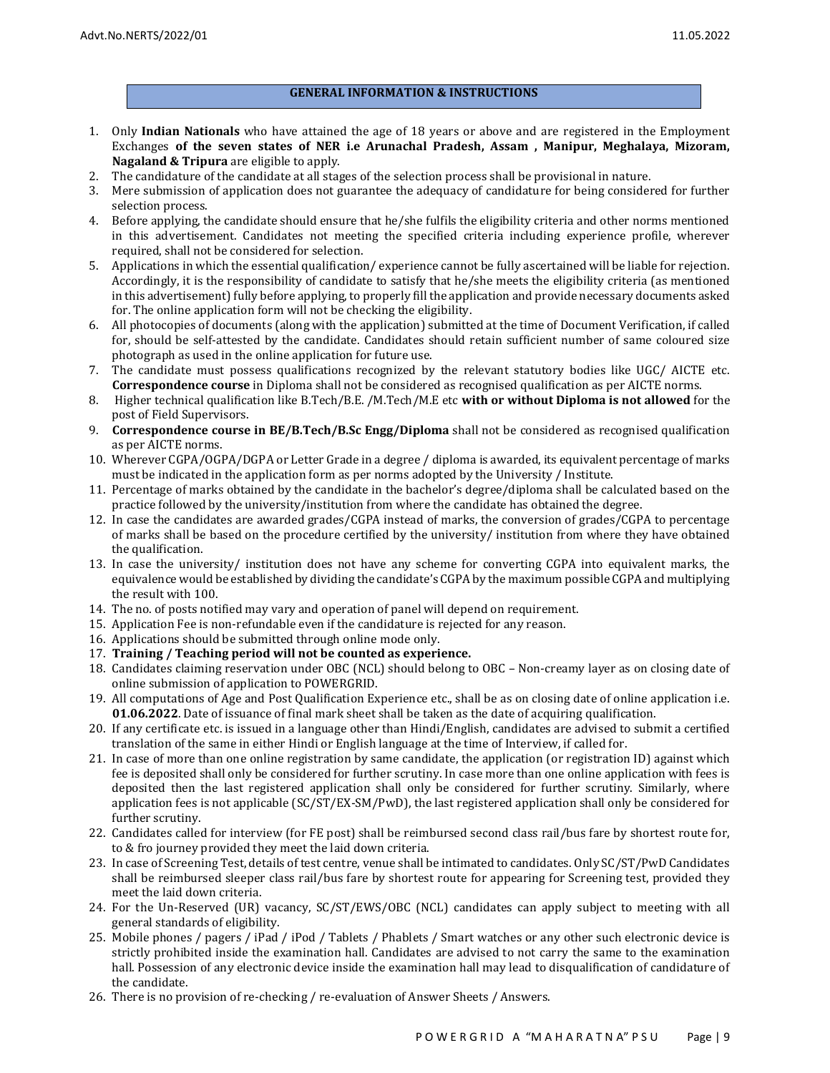### GENERAL INFORMATION & INSTRUCTIONS

- 1. Only Indian Nationals who have attained the age of 18 years or above and are registered in the Employment Exchanges of the seven states of NER i.e Arunachal Pradesh, Assam , Manipur, Meghalaya, Mizoram, Nagaland & Tripura are eligible to apply.
- 2. The candidature of the candidate at all stages of the selection process shall be provisional in nature.
- 3. Mere submission of application does not guarantee the adequacy of candidature for being considered for further selection process.
- 4. Before applying, the candidate should ensure that he/she fulfils the eligibility criteria and other norms mentioned in this advertisement. Candidates not meeting the specified criteria including experience profile, wherever required, shall not be considered for selection.
- 5. Applications in which the essential qualification/ experience cannot be fully ascertained will be liable for rejection. Accordingly, it is the responsibility of candidate to satisfy that he/she meets the eligibility criteria (as mentioned in this advertisement) fully before applying, to properly fill the application and provide necessary documents asked for. The online application form will not be checking the eligibility.
- 6. All photocopies of documents (along with the application) submitted at the time of Document Verification, if called for, should be self-attested by the candidate. Candidates should retain sufficient number of same coloured size photograph as used in the online application for future use.
- 7. The candidate must possess qualifications recognized by the relevant statutory bodies like UGC/ AICTE etc. Correspondence course in Diploma shall not be considered as recognised qualification as per AICTE norms.
- 8. Higher technical qualification like B.Tech/B.E. /M.Tech/M.E etc with or without Diploma is not allowed for the post of Field Supervisors.
- 9. Correspondence course in BE/B.Tech/B.Sc Engg/Diploma shall not be considered as recognised qualification as per AICTE norms.
- 10. Wherever CGPA/OGPA/DGPA or Letter Grade in a degree / diploma is awarded, its equivalent percentage of marks must be indicated in the application form as per norms adopted by the University / Institute.
- 11. Percentage of marks obtained by the candidate in the bachelor's degree/diploma shall be calculated based on the practice followed by the university/institution from where the candidate has obtained the degree.
- 12. In case the candidates are awarded grades/CGPA instead of marks, the conversion of grades/CGPA to percentage of marks shall be based on the procedure certified by the university/ institution from where they have obtained the qualification.
- 13. In case the university/ institution does not have any scheme for converting CGPA into equivalent marks, the equivalence would be established by dividing the candidate's CGPA by the maximum possible CGPA and multiplying the result with 100.
- 14. The no. of posts notified may vary and operation of panel will depend on requirement.
- 15. Application Fee is non-refundable even if the candidature is rejected for any reason.
- 16. Applications should be submitted through online mode only.
- 17. Training / Teaching period will not be counted as experience.
- 18. Candidates claiming reservation under OBC (NCL) should belong to OBC Non-creamy layer as on closing date of online submission of application to POWERGRID.
- 19. All computations of Age and Post Qualification Experience etc., shall be as on closing date of online application i.e. 01.06.2022. Date of issuance of final mark sheet shall be taken as the date of acquiring qualification.
- 20. If any certificate etc. is issued in a language other than Hindi/English, candidates are advised to submit a certified translation of the same in either Hindi or English language at the time of Interview, if called for.
- 21. In case of more than one online registration by same candidate, the application (or registration ID) against which fee is deposited shall only be considered for further scrutiny. In case more than one online application with fees is deposited then the last registered application shall only be considered for further scrutiny. Similarly, where application fees is not applicable (SC/ST/EX-SM/PwD), the last registered application shall only be considered for further scrutiny.
- 22. Candidates called for interview (for FE post) shall be reimbursed second class rail/bus fare by shortest route for, to & fro journey provided they meet the laid down criteria.
- 23. In case of Screening Test, details of test centre, venue shall be intimated to candidates. Only SC/ST/PwD Candidates shall be reimbursed sleeper class rail/bus fare by shortest route for appearing for Screening test, provided they meet the laid down criteria.
- 24. For the Un-Reserved (UR) vacancy, SC/ST/EWS/OBC (NCL) candidates can apply subject to meeting with all general standards of eligibility.
- 25. Mobile phones / pagers / iPad / iPod / Tablets / Phablets / Smart watches or any other such electronic device is strictly prohibited inside the examination hall. Candidates are advised to not carry the same to the examination hall. Possession of any electronic device inside the examination hall may lead to disqualification of candidature of the candidate.
- 26. There is no provision of re-checking / re-evaluation of Answer Sheets / Answers.